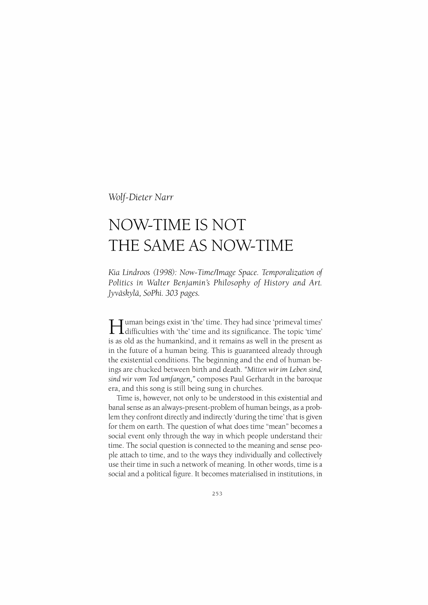*Wolf-Dieter Narr* 

# **NOW-TIME IS NOT THE SAME AS NOW-TIME**

*Kia Lindroos (1998): Now-Time/Image Space. Temporalization of Politics in Walter Benjamin's Philosophy of History and Art. ]yvaskyla, SoPhi.* 303 *pages.* 

Human beings exist in 'the' time. They had since 'primeval times' difficulties with 'the' time and its significance. The topic 'time' is as old as the humankind, and it remains as well in the present as in the future of a human being. This is guaranteed already through the existential conditions. The beginning and the end of human beings are chucked between birth and death. *"Mitten wir* im *Leben sind, sind wir vom Tad umfangen,"* composes Paul Gerhardt in the baroque era, and this song is still being sung in churches.

Time is, however, not only to be understood in this existential and banal sense as an always-present-problem of human beings, as a problem they confront directly and indirectly 'during the time' that is given for them on earth. The question of what does time "mean" becomes a social event only through the way in which people understand their time. The social question is connected to the meaning and sense people attach to time, and to the ways they individually and collectively use their time in such a network of meaning. In other words, time is a social and a political figure. It becomes materialised in institutions, in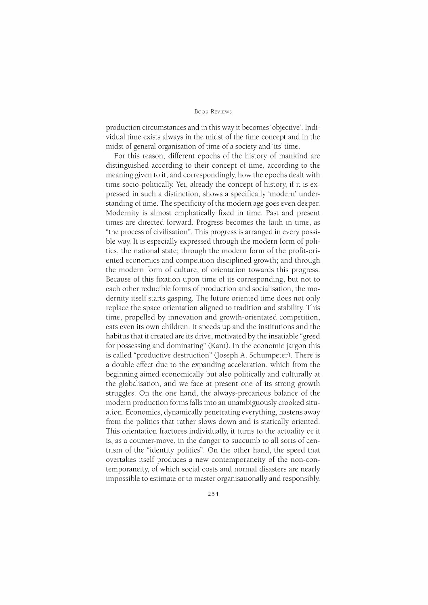#### BooK REviEws

production circumstances and in this way it becomes 'objective'. Individual time exists always in the midst of the time concept and in the midst of general organisation of time of a society and 'its' time.

For this reason, different epochs of the history of mankind are distinguished according to their concept of time, according to the meaning given to it, and correspondingly, how the epochs dealt with time socio-politically Yet, already the concept of history, if it is expressed in such a distinction, shows a specifically 'modern' understanding of time. The specificity of the modern age goes even deeper. Modernity is almost emphatically fixed in time. Past and present times are directed forward. Progress becomes the faith in time, as "the process of civilisation". This progress is arranged in every possible way It is especially expressed through the modern form of politics, the national state; through the modern form of the profit-oriented economics and competition disciplined growth; and through the modern form of culture, of orientation towards this progress. Because of this fixation upon time of its corresponding, but not to each other reducible forms of production and socialisation, the modernity itself starts gasping. The future oriented time does not only replace the space orientation aligned to tradition and stability This time, propelled by innovation and growth-orientated competition, eats even its own children. It speeds up and the institutions and the habitus that it created are its drive, motivated by the insatiable "greed for possessing and dominating" (Kant). In the economic jargon this is called "productive destruction" (Joseph A. Schumpeter). There is a double effect due to the expanding acceleration, which from the beginning aimed economically but also politically and culturally at the globalisation, and we face at present one of its strong growth struggles. On the one hand, the always-precarious balance of the modern production forms falls into an unambiguously crooked situation. Economics, dynamically penetrating everything, hastens away from the politics that rather slows down and is statically oriented. This orientation fractures individually, it turns to the actuality or it is, as a counter-move, in the danger to succumb to all sorts of centrism of the "identity politics". On the other hand, the speed that overtakes itself produces a new contemporaneity of the non-contemporaneity, of which social costs and normal disasters are nearly impossible to estimate or to master organisationally and responsibly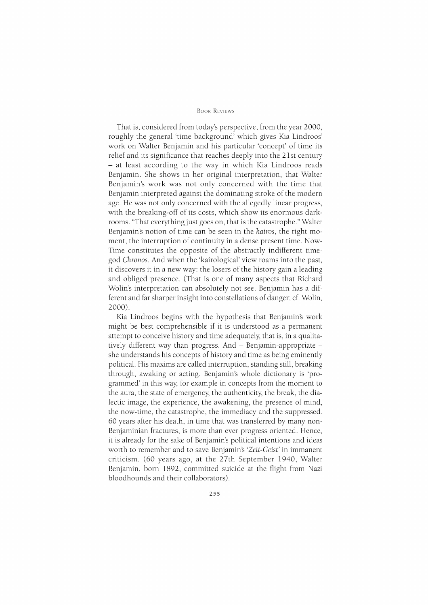That is, considered from today's perspective, from the year 2000, roughly the general 'time background' which gives Kia Lindroos' work on Walter Benjamin and his particular 'concept' of time its relief and its significance that reaches deeply into the 21st century - at least according to the way in which Kia Lindroos reads Benjamin. She shows in her original interpretation, that Walter Benjamin's work was not only concerned with the time that Benjamin interpreted against the dominating stroke of the modern age. He was not only concerned with the allegedly linear progress, with the breaking-off of its costs, which show its enormous darkrooms. 'That everything just goes on, that is the catastrophe." Walter Benjamin's notion of time can be seen in the *kairos,* the right moment, the interruption of continuity in a dense present time. Now-Time constitutes the opposite of the abstractly indifferent timegod *Chronos.* And when the 'kairological' view roams into the past, it discovers it in a new way: the losers of the history gain a leading and obliged presence. (That is one of many aspects that Richard Wolin's interpretation can absolutely not see. Benjamin has a different and far sharper insight into constellations of danger; cf. Wolin, 2000).

Kia Lindroos begins with the hypothesis that Benjamin's work might be best comprehensible if it is understood as a permanent attempt to conceive history and time adequately, that is, in a qualitatively different way than progress. And - Benjamin-appropriate she understands his concepts of history and time as being eminently political. His maxims are called interruption, standing still, breaking through, awaking or acting. Benjamin's whole dictionary is 'programmed' in this way, for example in concepts from the moment to the aura, the state of emergency, the authenticity, the break, the dialectic image, the experience, the awakening, the presence of mind, the now-time, the catastrophe, the immediacy and the suppressed. 60 years after his death, in time that was transferred by many non-Benjaminian fractures, is more than ever progress oriented. Hence, it is already for the sake of Benjamin's political intentions and ideas worth to remember and to save Benjamin's *'Zeit-Geist'* in immanent criticism. (60 years ago, at the 27th September 1940, Walter Benjamin, born 1892, committed suicide at the flight from Nazi bloodhounds and their collaborators).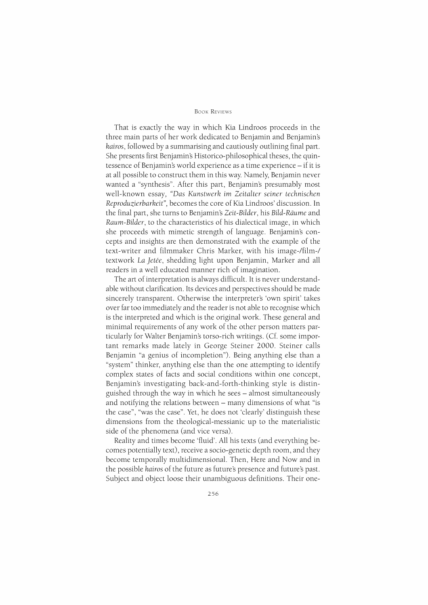That is exactly the way in which Kia Lindroos proceeds in the three main parts of her work dedicated to Benjamin and Benjamin's *kairos,* followed by a summarising and cautiously outlining final part. She presents first Benjamin's Historico-philosophical theses, the quintessence of Benjamin's world experience as a time experience- if it is at all possible to construct them in this way. Namely, Benjamin never wanted a "synthesis". After this part, Benjamin's presumably most well-known essay, *"Das Kunstwerk im Zeitalter seiner technischen Reproduzierbarkeit",* becomes the core of Kia Lindroos' discussion. In the final part, she turns to Benjamin's *Zeit-Bilder,* his *Bild-Riiume* and *Raum-Bilder,* to the characteristics of his dialectical image, in which she proceeds with mimetic strength of language. Benjamin's concepts and insights are then demonstrated with the example of the text-writer and filmmaker Chris Marker, with his image-/film-/ textwork *La ]etee,* shedding light upon Benjamin, Marker and all readers in a well educated manner rich of imagination.

The art of interpretation is always difficult. It is never understandable without clarification. Its devices and perspectives should be made sincerely transparent. Otherwise the interpreter's 'own spirit' takes over far too immediately and the reader is not able to recognise which is the interpreted and which is the original work. These general and minimal requirements of any work of the other person matters particularly for Walter Benjamin's torso-rich writings. ( Cf. some important remarks made lately in George Steiner 2000. Steiner calls Benjamin "a genius of incompletion"). Being anything else than a "system" thinker, anything else than the one attempting to identify complex states of facts and social conditions within one concept, Benjamin's investigating back-and-forth-thinking style is distinguished through the way in which he sees - almost simultaneously and notifying the relations between - many dimensions of what "is the case", "was the case". Yet, he does not 'clearly' distinguish these dimensions from the theological-messianic up to the materialistic side of the phenomena (and vice versa).

Reality and times become 'fluid'. All his texts (and everything becomes potentially text), receive a socio-genetic depth room, and they become temporally multidimensional. Then, Here and Now and in the possible *kairos* of the future as future's presence and future's past. Subject and object loose their unambiguous definitions. Their one-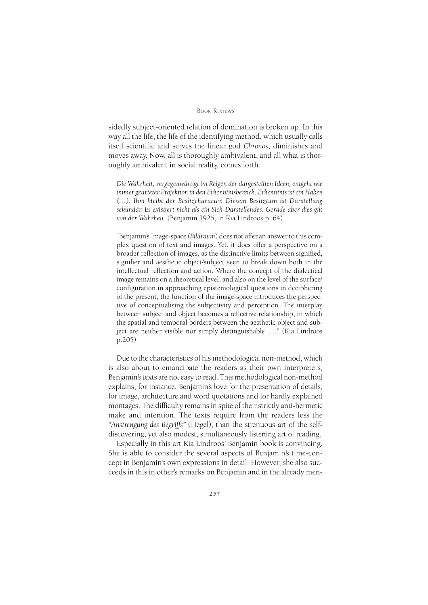#### BOOK REVIEWS

sidedly subject-oriented relation of domination is broken up. In this way all the life, the life of the identifying method, which usually calls itself scientific and serves the linear god *Chronos,* diminishes and moves away. Now, all is thoroughly ambivalent, and all what is thoroughly ambivalent in social reality, comes forth.

*Die Wahrheit, vergegenwartigt im Reigen der dargestellten Ideen, entgeht wie immer gearteter Projektion in den Erkenntnisbereich. Erkenntnis ist ein Haben (. .. ). Ihm bleibt der Besitzcharacter. Dies em Besitztum ist Darstellung sekundar. Es existiert nicht als ein Sich-Darstellendes. Gerade aber dies gilt von der Wahrheit.* (Benjamin 1925, in Kia Lindroos p. 64).

"Benjamin\$ Image-space *(Bildraum)* does not offer an answer to this complex question of text and images. Yet, it does offer a perspective on a broader reflection of images, as the distinctive limits between signified, signifier and aesthetic object/subject seen to break down both in the intellectual reflection and action. Where the concept of the dialectical image remains on a theoretical level, and also on the level of the surface/ configuration in approaching epistemological questions in deciphering of the present, the function of the image-space introduces the perspective of conceptualising the subjectivity and perception. The interplay between subject and object becomes a reflective relationship, in which the spatial and temporal borders between the aesthetic object and subject are neither visible nor simply distinguishable. ..." (Kia Lindroos p.205).

Due to the characteristics of his methodological non-method, which is also about to emancipate the readers as their own interpreters, Benjamin's texts are not easy to read. This methodological non-method explains, for instance, Benjamin's love for the presentation of details, for image, architecture and word quotations and for hardly explained montages. The difficulty remains in spite of their strictly anti-hermetic make and intention. The texts require from the readers less the "Anstrengung des Begriffs" (Hegel), than the strenuous art of the selfdiscovering, yet also modest, simultaneously listening art of reading.

Especially in this art Kia Lindroos' Benjamin book is convincing. She is able to consider the several aspects of Benjamin's time-concept in Benjamin's own expressions in detail. However, she also succeeds in this in other's remarks on Benjamin and in the already men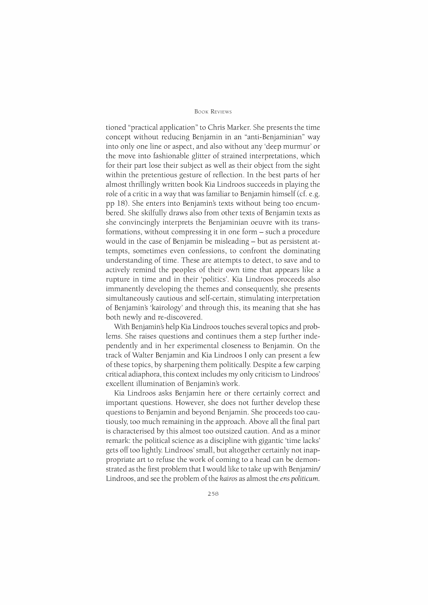tioned "practical application" to Chris Marker. She presents the time concept without reducing Benjamin in an "anti-Benjaminian" way into only one line or aspect, and also without any 'deep murmur' or the move into fashionable glitter of strained interpretations, which for their part lose their subject as well as their object from the sight within the pretentious gesture of reflection. In the best parts of her almost thrillingly written book Kia Lindroos succeeds in playing the role of a critic in a way that was familiar to Benjamin himself (cf. e.g. pp IS). She enters into Benjamin's texts without being too encumbered. She skilfully draws also from other texts of Benjamin texts as she convincingly interprets the Benjaminian oeuvre with its transformations, without compressing it in one form - such a procedure would in the case of Benjamin be misleading- but as persistent attempts, sometimes even confessions, to confront the dominating understanding of time. These are attempts to detect, to save and to actively remind the peoples of their own time that appears like a rupture in time and in their 'politics'. Kia Lindroos proceeds also immanently developing the themes and consequently, she presents simultaneously cautious and self-certain, stimulating interpretation of Benjamin's 'kairology' and through this, its meaning that she has both newly and re-discovered.

With Benjamin's help Kia Lindroos touches several topics and problems. She raises questions and continues them a step further independently and in her experimental closeness to Benjamin. On the track of Walter Benjamin and Kia Lindroos I only can present a few of these topics, by sharpening them politically Despite a few carping critical adiaphora, this context includes my only criticism to Lindroos' excellent illumination of Benjamin's work.

Kia Lindroos asks Benjamin here or there certainly correct and important questions. However, she does not further develop these questions to Benjamin and beyond Benjamin. She proceeds too cautiously, too much remaining in the approach. Above all the final part is characterised by this almost too outsized caution. And as a minor remark: the political science as a discipline with gigantic 'time lacks' gets off too lightly. Lindroos' small, but altogether certainly not inappropriate art to refuse the work of coming to a head can be demonstrated as the first problem that I would like to take up with Benjamin/ Lindroos, and see the problem of the *kairos* as almost the *ens politicum.*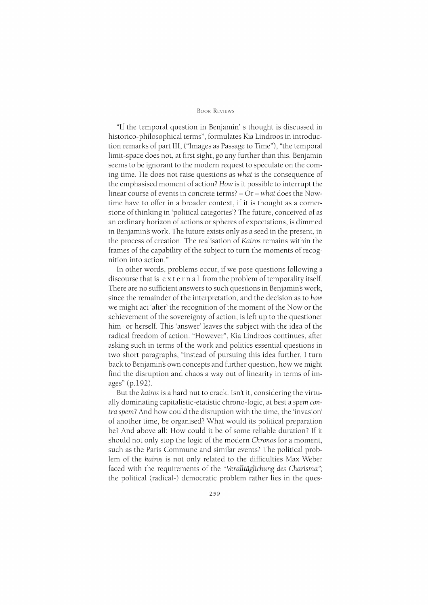"If the temporal question in Benjamin' s thought is discussed in historico-philosophical terms", formulates Kia Lindroos in introduction remarks of part III, ("Images as Passage to Time"), "the temporal limit-space does not, at first sight, go any further than this. Benjamin seems to be ignorant to the modern request to speculate on the coming time. He does not raise questions as *what* is the consequence of the emphasised moment of action? *How* is it possible to interrupt the linear course of events in concrete terms?- *Or-what* does the Nowtime have to offer in a broader context, if it is thought as a cornerstone of thinking in 'political categories'? The future, conceived of as an ordinary horizon of actions or spheres of expectations, is dimmed in Benjamin's work. The future exists only as a seed in the present, in the process of creation. The realisation of *Kairos* remains within the frames of the capability of the subject to turn the moments of recognition into action."

In other words, problems occur, if we pose questions following a discourse that is ext e rna 1 from the problem of temporality itself. There are no sufficient answers to such questions in Benjamin's work, since the remainder of the interpretation, and the decision as to *how*  we might act 'after' the recognition of the moment of the Now or the achievement of the sovereignty of action, is left up to the questioner him- or herself. This 'answer' leaves the subject with the idea of the radical freedom of action. "However", Kia Lindroos continues, after asking such in terms of the work and politics essential questions in two short paragraphs, "instead of pursuing this idea further, I turn back to Benjamin's own concepts and further question, how we might find the disruption and chaos a way out of linearity in terms of images" (p.l92).

But the *kairos* is a hard nut to crack. Isn't it, considering the virtually dominating capitalistic-etatistic chrono-logie, at best a *spem contra spem?* And how could the disruption with the time, the 'invasion' of another time, be organised? What would its political preparation be? And above all: How could it be of some reliable duration? If it should not only stop the logic of the modern *Chronos* for a moment, such as the Paris Commune and similar events? The political problem of the *kairos* is not only related to the difficulties Max Weber faced with the requirements of the *"Veralltaglichung des Charisma";*  the political (radical-) democratic problem rather lies in the ques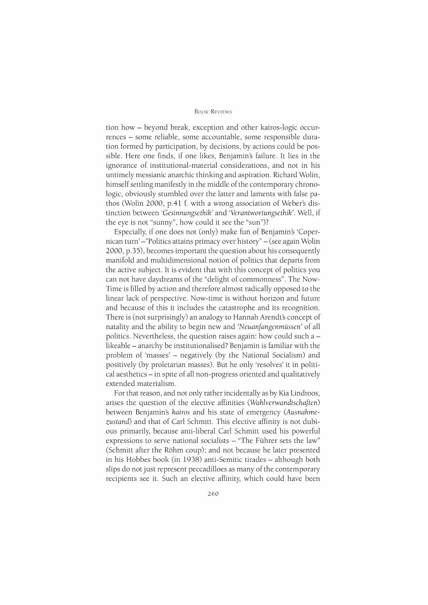tion how - beyond break, exception and other kairos-logic occurrences - some reliable, some accountable, some responsible duration formed by participation, by decisions, by actions could be possible. Here one finds, if one likes, Benjamin's failure. It lies in the ignorance of institutional-material considerations, and not in his untimely messianic anarchic thinking and aspiration. Richard Wolin, himself settling manifestly in the middle of the contemporary chronologie, obviously stumbled over the latter and laments with false pathos (Wolin 2000, p.4l f. with a wrong association of Weber's distinction between *'Gesinnungsethik'* and *'Verantwortungsethik'.* Well, if the eye is not "sunny", how could it see the "sun")?

Especially, if one does not (only) make fun of Benjamin's 'Copernican turn' -"Politics attains primacy over history"- (see again Wolin 2000, p.35), becomes important the question about his consequently manifold and multidimensional notion of politics that departs from the active subject. It is evident that with this concept of politics you can not have daydreams of the "delight of commonness". The Now-Time is filled by action and therefore almost radically opposed to the linear lack of perspective. Now-time is without horizon and future and because of this it includes the catastrophe and its recognition. There is (not surprisingly) an analogy to Hannah Arendt's concept of natality and the ability to begin new and *'Neuanfangenmussen'* of all politics. Nevertheless, the question raises again: how could such a  $$ likeable- anarchy be institutionalised? Benjamin is familiar with the problem of 'masses' - negatively (by the National Socialism) and positively (by proletarian masses). But he only 'resolves' it in political aesthetics- in spite of all non-progress oriented and qualitatively extended materialism.

For that reason, and not only rather incidentally as by Kia Lindroos, arises the question of the elective affinities *(Wahlverwandtschaften)*  between Benjamin's *kairos* and his state of emergency *(Ausnahmezustand)* and that of Carl Schmitt. This elective affinity is not dubious primarily, because anti-liberal Carl Schmitt used his powerful expressions to serve national socialists - "The Führer sets the law" (Schmitt after the Rohm coup); and not because he later presented in his Hobbes book (in 1938) anti-Semitic tirades- although both slips do not just represent peccadilloes as many of the contemporary recipients see it. Such an elective affinity, which could have been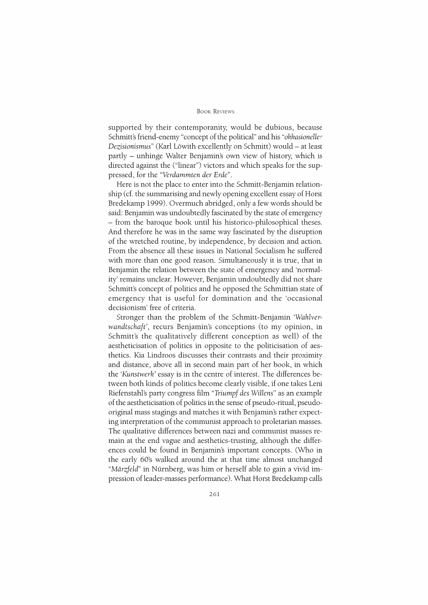#### **BOOK REVIEWS**

supported by their contemporanity, would be dubious, because Schmitt\$ friend-enemy "concept of the political" and his *"okkasioneller Dezisionismus"* (Karl Lowith excellently on Schmitt) would- at least partly - unhinge Walter Benjamin's own view of history, which is directed against the ("linear") victors and which speaks for the suppressed, for the *"Verdammten der Erde".* 

Here is not the place to enter into the Schmitt-Benjamin relationship (cf. the summarising and newly opening excellent essay of Horst Bredekamp 1999). Overmuch abridged, only a few words should be said: Benjamin was undoubtedly fascinated by the state of emergency - from the baroque book until his historico-philosophical theses. And therefore he was in the same way fascinated by the disruption of the wretched routine, by independence, by decision and action. From the absence all these issues in National Socialism he suffered with more than one good reason. Simultaneously it is true, that in Benjamin the relation between the state of emergency and 'normality' remains unclear. However, Benjamin undoubtedly did not share Schmitt's concept of politics and he opposed the Schmittian state of emergency that is useful for domination and the 'occasional decisionism' free of criteria.

Stronger than the problem of the Schmitt-Benjamin *'Wahlverwandtschaft',* recurs Benjamin's conceptions (to my opinion, in Schmitt's the qualitatively different conception as well) of the aestheticisation of politics in opposite to the politicisation of aesthetics. Kia Lindroos discusses their contrasts and their proximity and distance, above all in second main part of her book, in which the *'Kunstwerk'* essay is in the centre of interest. The differences between both kinds of politics become clearly visible, if one takes Leni Riefenstahl's party congress film *"Triumpf des Willens"* as an example of the aestheticisation of politics in the sense of pseudo-ritual, pseudooriginal mass stagings and matches it with Benjamin's rather expecting interpretation of the communist approach to proletarian masses. The qualitative differences between nazi and communist masses remain at the end vague and aesthetics-trusting, although the differences could be found in Benjamin's important concepts. (Who in the early 60's walked around the at that time almost unchanged *"Mdrzfeld"* in Nurnberg, was him or herself able to gain a vivid impression of leader-masses performance). What Horst Bredekamp calls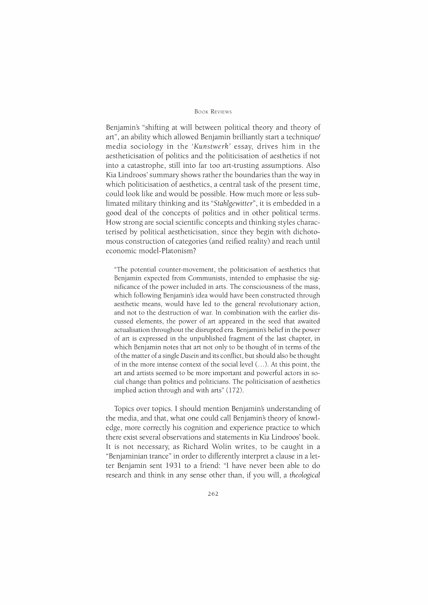#### BooK REviEws

Benjamin's "shifting at will between political theory and theory of art", an ability which allowed Benjamin brilliantly start a technique/ media sociology in the *'Kunstwerk'* essay, drives him in the aestheticisation of politics and the politicisation of aesthetics if not into a catastrophe, still into far too art-trusting assumptions. Also Kia Lindroos' summary shows rather the boundaries than the way in which politicisation of aesthetics, a central task of the present time, could look like and would be possible. How much more or less sublimated military thinking and its *"Stahlgewitter",* it is embedded in a good deal of the concepts of politics and in other political terms. How strong are social scientific concepts and thinking styles characterised by political aestheticisation, since they begin with dichotomous construction of categories (and reified reality) and reach until economic model-Platonism?

"The potential counter-movement, the politicisation of aesthetics that Benjamin expected from Communists, intended to emphasise the significance of the power included in arts. The consciousness of the mass, which following Benjamin's idea would have been constructed through aesthetic means, would have led to the general revolutionary action, and not to the destruction of war. In combination with the earlier discussed elements, the power of art appeared in the seed that awaited actualisation throughout the disrupted era. Benjamin's belief in the power of art is expressed in the unpublished fragment of the last chapter, in which Benjamin notes that art not only to be thought of in terms of the of the matter of a single *Dasein* and its conflict, but should also be thought of in the more intense context of the social level(. .. ). At this point, the art and artists seemed to be more important and powerful actors in social change than politics and politicians. The politicisation of aesthetics implied action through and with arts" (172).

Topics over topics. I should mention Benjamin's understanding of the media, and that, what one could call Benjamin's theory of knowledge, more correctly his cognition and experience practice to which there exist several observations and statements in Kia Lindroos' book. It is not necessary, as Richard Wolin writes, to be caught in a "Benjaminian trance" in order to differently interpret a clause in a letter Benjamin sent 1931 to a friend: "I have never been able to do research and think in any sense other than, if you will, a *theological*